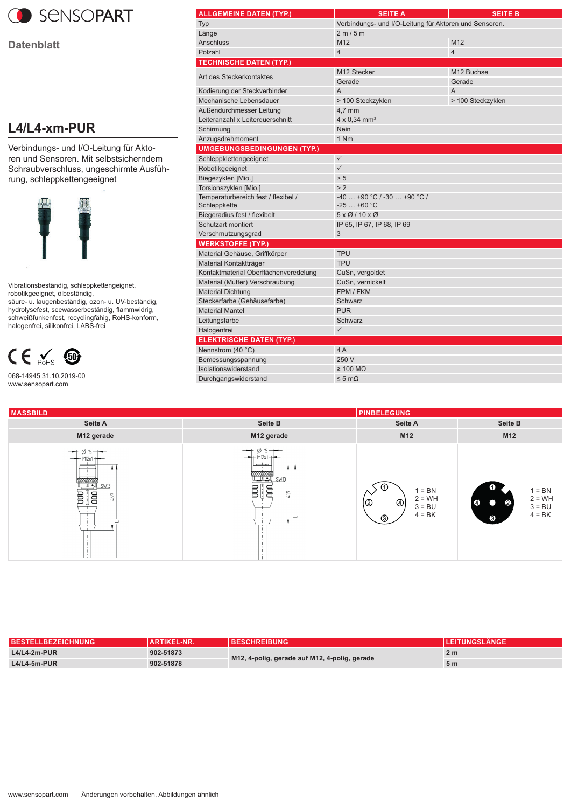

**Datenblatt**

## **L4/L4-xm-PUR**

Verbindungs- und I/O-Leitung für Aktoren und Sensoren. Mit selbstsicherndem Schraubverschluss, ungeschirmte Ausführung, schleppkettengeeignet



Vibrationsbeständig, schleppkettengeignet, robotikgeeignet, ölbeständig, säure- u. laugenbeständig, ozon- u. UV-beständig, hydrolysefest, seewasserbeständig, flammwidrig, schweißfunkenfest, recyclingfähig, RoHS-konform,



halogenfrei, silikonfrei, LABS-frei

068-14945 31.10.2019-00 www.sensopart.com

| <b>ALLGEMEINE DATEN (TYP.)</b>        | <b>SEITE A</b>                                         | <b>SEITE B</b>    |
|---------------------------------------|--------------------------------------------------------|-------------------|
| Typ                                   | Verbindungs- und I/O-Leitung für Aktoren und Sensoren. |                   |
| Länge                                 | 2 m / 5 m                                              |                   |
| <b>Anschluss</b>                      | M12                                                    | M12               |
| Polzahl                               | $\overline{4}$                                         | $\overline{4}$    |
| <b>TECHNISCHE DATEN (TYP.)</b>        |                                                        |                   |
| Art des Steckerkontaktes              | M12 Stecker                                            | M12 Buchse        |
|                                       | Gerade                                                 | Gerade            |
| Kodierung der Steckverbinder          | $\overline{A}$                                         | $\overline{A}$    |
| Mechanische Lebensdauer               | > 100 Steckzyklen                                      | > 100 Steckzyklen |
| Außendurchmesser Leitung              | $4,7$ mm                                               |                   |
| Leiteranzahl x Leiterquerschnitt      | 4 x 0,34 mm <sup>2</sup>                               |                   |
| Schirmung                             | <b>Nein</b>                                            |                   |
| Anzugsdrehmoment                      | 1 Nm                                                   |                   |
| <b>UMGEBUNGSBEDINGUNGEN (TYP.)</b>    |                                                        |                   |
| Schleppklettengeeignet                | $\checkmark$                                           |                   |
| Robotikgeeignet                       | $\checkmark$                                           |                   |
| Biegezyklen [Mio.]                    | > 5                                                    |                   |
| Torsionszyklen [Mio.]                 | > 2                                                    |                   |
| Temperaturbereich fest / flexibel /   | $-40$ +90 °C / -30  +90 °C /                           |                   |
| Schleppkette                          | $-25+60 °C$                                            |                   |
| Biegeradius fest / flexibelt          | $5 \times 0$ /10 $\times$ 0                            |                   |
| Schutzart montiert                    | IP 65, IP 67, IP 68, IP 69                             |                   |
| Verschmutzungsgrad                    | 3                                                      |                   |
| <b>WERKSTOFFE (TYP.)</b>              |                                                        |                   |
| Material Gehäuse, Griffkörper         | <b>TPU</b>                                             |                   |
| Material Kontaktträger                | <b>TPU</b>                                             |                   |
| Kontaktmaterial Oberflächenveredelung | CuSn, vergoldet                                        |                   |
| Material (Mutter) Verschraubung       | CuSn, vernickelt                                       |                   |
| <b>Material Dichtung</b>              | FPM / FKM                                              |                   |
| Steckerfarbe (Gehäusefarbe)           | Schwarz                                                |                   |
| <b>Material Mantel</b>                | <b>PUR</b>                                             |                   |
| Leitungsfarbe                         | Schwarz                                                |                   |
| Halogenfrei                           | $\checkmark$                                           |                   |
| <b>ELEKTRISCHE DATEN (TYP.)</b>       |                                                        |                   |
| Nennstrom (40 °C)                     | 4 A                                                    |                   |
| Bemessungsspannung                    | 250 V                                                  |                   |
| Isolationswiderstand                  | $\geq 100 \text{ M}\Omega$                             |                   |
| Durchgangswiderstand                  | $\leq 5 \text{ mA}$                                    |                   |
|                                       |                                                        |                   |

| <b>MASSBILD</b>                                                                                                                                                                                                                                                                                                                                                                                                                                                                          |                                                                                                                                                                 | <b>PINBELEGUNG</b>                                                                 |                                                                                                          |
|------------------------------------------------------------------------------------------------------------------------------------------------------------------------------------------------------------------------------------------------------------------------------------------------------------------------------------------------------------------------------------------------------------------------------------------------------------------------------------------|-----------------------------------------------------------------------------------------------------------------------------------------------------------------|------------------------------------------------------------------------------------|----------------------------------------------------------------------------------------------------------|
| Seite A                                                                                                                                                                                                                                                                                                                                                                                                                                                                                  | Seite B                                                                                                                                                         | <b>Seite A</b>                                                                     | Seite B                                                                                                  |
| M12 gerade                                                                                                                                                                                                                                                                                                                                                                                                                                                                               | M12 gerade                                                                                                                                                      | M12                                                                                | M12                                                                                                      |
| $\rightarrow$ 6 5 $\rightarrow$<br><del>‱्</del><br>संस्कृति ।<br>$\begin{tabular}{ c c } \hline \hline \rule{0pt}{3ex} \rule{0pt}{3ex} \rule{0pt}{3ex} \rule{0pt}{3ex} \rule{0pt}{3ex} \rule{0pt}{3ex} \rule{0pt}{3ex} \rule{0pt}{3ex} \rule{0pt}{3ex} \rule{0pt}{3ex} \rule{0pt}{3ex} \rule{0pt}{3ex} \rule{0pt}{3ex} \rule{0pt}{3ex} \rule{0pt}{3ex} \rule{0pt}{3ex} \rule{0pt}{3ex} \rule{0pt}{3ex} \rule{0pt}{3ex} \rule{0pt}{3ex} \rule{0pt}{3ex} \rule{0pt}{3ex} \rule{0$<br>46,9 | $\emptyset$ 15 $\rightarrow$<br>$-$<br>M12 <sub>Y</sub><br>$\overline{\phantom{a}}$<br><b>standard (Company)</b><br>Simple SWB (<br>¶ੂ⊟<br>$\frac{1}{2}$<br>419 | - (1,<br>$1 = BN$<br>$2 = WH$<br>$\circledcirc$<br>(©<br>$3 = BU$<br>$4 = BK$<br>⊚ | ➊<br>$1 = BN$<br>$2 = WH$<br>$\bullet$<br>$\bullet$<br>$\mathbf{2}$<br>$3 = BU$<br>$4 = BK$<br>$\bullet$ |

| <b>BESTELLBEZEICHNUNG</b> | <b>ARTIKEL-NR.</b> | <b>BESCHREIBUNG</b>                           | <b>LEITUNGSLÄNGE</b> |
|---------------------------|--------------------|-----------------------------------------------|----------------------|
| $L4/L4-2m-PUR$            | 902-51873          | M12, 4-polig, gerade auf M12, 4-polig, gerade | 2 m                  |
| $L4/L4-5m-PUR$            | 902-51878          |                                               | 5 <sub>m</sub>       |